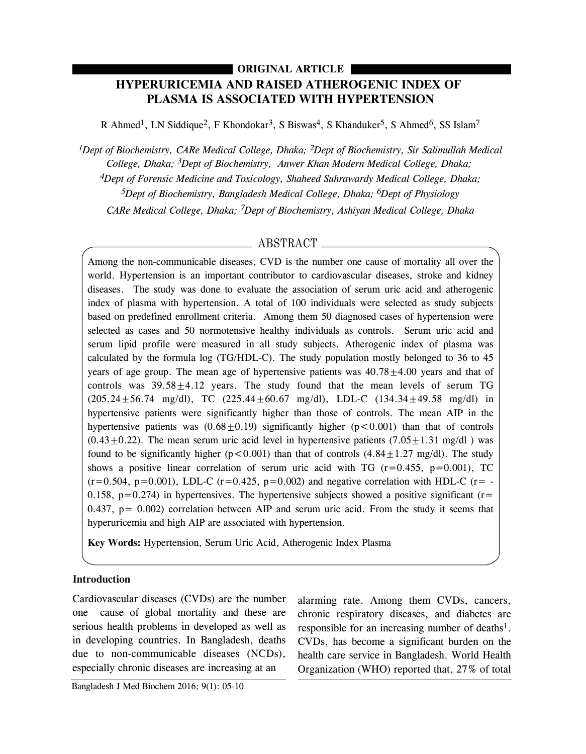# **HYPERURICEMIA AND RAISED ATHEROGENIC INDEX OF PLASMA IS ASSOCIATED WITH HYPERTENSION ORIGINAL ARTICLE**

R Ahmed<sup>1</sup>, LN Siddique<sup>2</sup>, F Khondokar<sup>3</sup>, S Biswas<sup>4</sup>, S Khanduker<sup>5</sup>, S Ahmed<sup>6</sup>, SS Islam<sup>7</sup>

*1Dept of Biochemistry, CARe Medical College, Dhaka; 2Dept of Biochemistry, Sir Salimullah Medical College, Dhaka; 3Dept of Biochemistry, Anwer Khan Modern Medical College, Dhaka; 4Dept of Forensic Medicine and Toxicology, Shaheed Suhrawardy Medical College, Dhaka; 5Dept of Biochemistry, Bangladesh Medical College, Dhaka; 6Dept of Physiology CARe Medical College, Dhaka; 7Dept of Biochemistry, Ashiyan Medical College, Dhaka*

## ABSTRACT

Among the non-communicable diseases, CVD is the number one cause of mortality all over the world. Hypertension is an important contributor to cardiovascular diseases, stroke and kidney diseases. The study was done to evaluate the association of serum uric acid and atherogenic index of plasma with hypertension. A total of 100 individuals were selected as study subjects based on predefined enrollment criteria. Among them 50 diagnosed cases of hypertension were selected as cases and 50 normotensive healthy individuals as controls. Serum uric acid and serum lipid profile were measured in all study subjects. Atherogenic index of plasma was calculated by the formula log (TG/HDL-C). The study population mostly belonged to 36 to 45 years of age group. The mean age of hypertensive patients was  $40.78 \pm 4.00$  years and that of controls was  $39.58 \pm 4.12$  years. The study found that the mean levels of serum TG  $(205.24 \pm 56.74 \text{ mg/dl})$ , TC  $(225.44 \pm 60.67 \text{ mg/dl})$ , LDL-C  $(134.34 \pm 49.58 \text{ mg/dl})$  in hypertensive patients were significantly higher than those of controls. The mean AIP in the hypertensive patients was  $(0.68 \pm 0.19)$  significantly higher ( $p < 0.001$ ) than that of controls  $(0.43\pm0.22)$ . The mean serum uric acid level in hypertensive patients  $(7.05\pm1.31 \text{ mg/d1})$  was found to be significantly higher ( $p < 0.001$ ) than that of controls (4.84 $\pm$ 1.27 mg/dl). The study shows a positive linear correlation of serum uric acid with TG  $(r=0.455, p=0.001)$ , TC  $(r=0.504, p=0.001)$ , LDL-C  $(r=0.425, p=0.002)$  and negative correlation with HDL-C  $(r=$  -0.158,  $p=0.274$ ) in hypertensives. The hypertensive subjects showed a positive significant ( $r=$  $0.437$ ,  $p = 0.002$ ) correlation between AIP and serum uric acid. From the study it seems that hyperuricemia and high AIP are associated with hypertension.

**Key Words:** Hypertension, Serum Uric Acid, Atherogenic Index Plasma

## **Introduction**

Cardiovascular diseases (CVDs) are the number one cause of global mortality and these are serious health problems in developed as well as in developing countries. In Bangladesh, deaths due to non-communicable diseases (NCDs), especially chronic diseases are increasing at an

alarming rate. Among them CVDs, cancers, chronic respiratory diseases, and diabetes are responsible for an increasing number of deaths $1$ . CVDs, has become a significant burden on the health care service in Bangladesh. World Health Organization (WHO) reported that, 27% of total

Bangladesh J Med Biochem 2016; 9(1): 05-10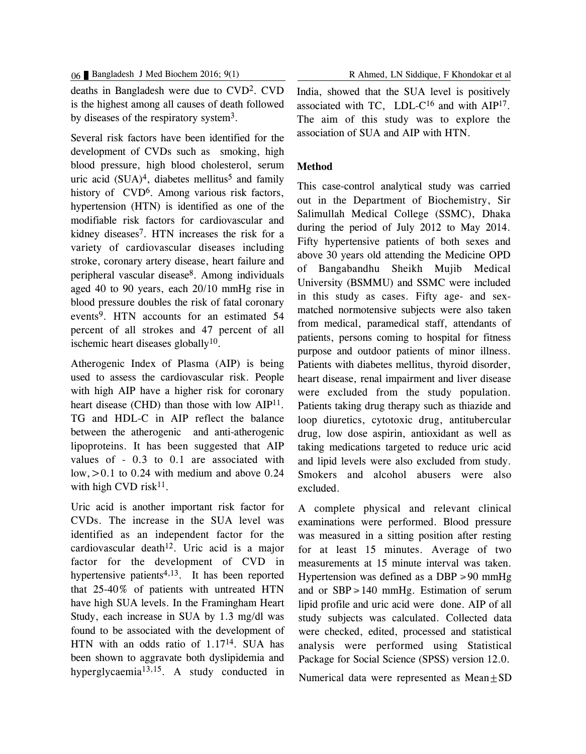deaths in Bangladesh were due to CVD2. CVD is the highest among all causes of death followed by diseases of the respiratory system3.

Several risk factors have been identified for the development of CVDs such as smoking, high blood pressure, high blood cholesterol, serum uric acid  $(SUA)^4$ , diabetes mellitus<sup>5</sup> and family history of CVD<sup>6</sup>. Among various risk factors, hypertension (HTN) is identified as one of the modifiable risk factors for cardiovascular and kidney diseases7. HTN increases the risk for a variety of cardiovascular diseases including stroke, coronary artery disease, heart failure and peripheral vascular disease8. Among individuals aged 40 to 90 years, each 20/10 mmHg rise in blood pressure doubles the risk of fatal coronary events9. HTN accounts for an estimated 54 percent of all strokes and 47 percent of all ischemic heart diseases globally<sup>10</sup>.

Atherogenic Index of Plasma (AIP) is being used to assess the cardiovascular risk. People with high AIP have a higher risk for coronary heart disease (CHD) than those with low AIP<sup>11</sup>. TG and HDL-C in AIP reflect the balance between the atherogenic and anti-atherogenic lipoproteins. It has been suggested that AIP values of - 0.3 to 0.1 are associated with low,  $>0.1$  to 0.24 with medium and above 0.24 with high CVD risk $11$ .

Uric acid is another important risk factor for CVDs. The increase in the SUA level was identified as an independent factor for the cardiovascular death<sup>12</sup>. Uric acid is a major factor for the development of CVD in hypertensive patients<sup>4,13</sup>. It has been reported that 25-40% of patients with untreated HTN have high SUA levels. In the Framingham Heart Study, each increase in SUA by 1.3 mg/dl was found to be associated with the development of HTN with an odds ratio of 1.1714. SUA has been shown to aggravate both dyslipidemia and hyperglycaemia13,15. A study conducted in

India, showed that the SUA level is positively associated with TC, LDL-C $^{16}$  and with AIP<sup>17</sup>. The aim of this study was to explore the association of SUA and AIP with HTN.

### **Method**

This case-control analytical study was carried out in the Department of Biochemistry, Sir Salimullah Medical College (SSMC), Dhaka during the period of July 2012 to May 2014. Fifty hypertensive patients of both sexes and above 30 years old attending the Medicine OPD of Bangabandhu Sheikh Mujib Medical University (BSMMU) and SSMC were included in this study as cases. Fifty age- and sexmatched normotensive subjects were also taken from medical, paramedical staff, attendants of patients, persons coming to hospital for fitness purpose and outdoor patients of minor illness. Patients with diabetes mellitus, thyroid disorder, heart disease, renal impairment and liver disease were excluded from the study population. Patients taking drug therapy such as thiazide and loop diuretics, cytotoxic drug, antitubercular drug, low dose aspirin, antioxidant as well as taking medications targeted to reduce uric acid and lipid levels were also excluded from study. Smokers and alcohol abusers were also excluded.

A complete physical and relevant clinical examinations were performed. Blood pressure was measured in a sitting position after resting for at least 15 minutes. Average of two measurements at 15 minute interval was taken. Hypertension was defined as a DBP  $\geq 90$  mmHg and or  $SBP \ge 140$  mmHg. Estimation of serum lipid profile and uric acid were done. AIP of all study subjects was calculated. Collected data were checked, edited, processed and statistical analysis were performed using Statistical Package for Social Science (SPSS) version 12.0.

Numerical data were represented as  $Mean \pm SD$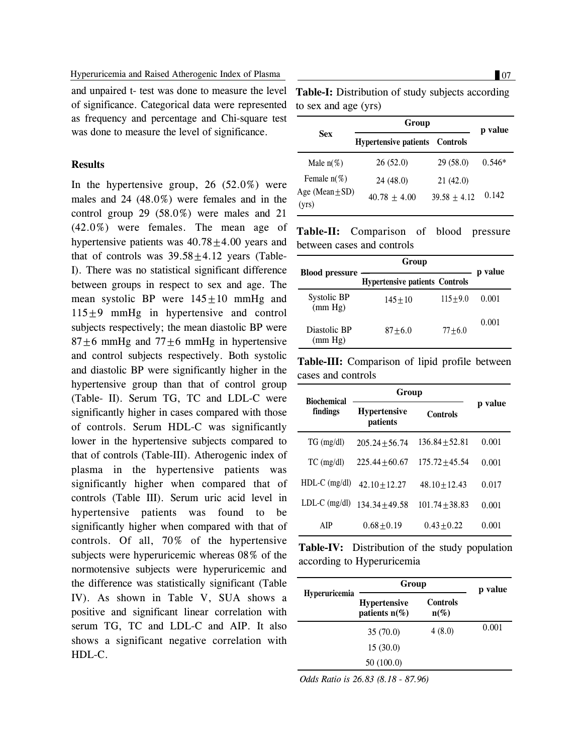and unpaired t- test was done to measure the level of significance. Categorical data were represented as frequency and percentage and Chi-square test was done to measure the level of significance.

## **Results**

In the hypertensive group,  $26$  (52.0%) were males and 24 (48.0%) were females and in the control group 29 (58.0%) were males and 21 (42.0%) were females. The mean age of hypertensive patients was  $40.78 \pm 4.00$  years and that of controls was  $39.58 \pm 4.12$  years (Table-I). There was no statistical significant difference between groups in respect to sex and age. The mean systolic BP were  $145 \pm 10$  mmHg and  $115±9$  mmHg in hypertensive and control subjects respectively; the mean diastolic BP were  $87 \pm 6$  mmHg and  $77 \pm 6$  mmHg in hypertensive and control subjects respectively. Both systolic and diastolic BP were significantly higher in the hypertensive group than that of control group (Table- II). Serum TG, TC and LDL-C were significantly higher in cases compared with those of controls. Serum HDL-C was significantly lower in the hypertensive subjects compared to that of controls (Table-III). Atherogenic index of plasma in the hypertensive patients was significantly higher when compared that of controls (Table III). Serum uric acid level in hypertensive patients was found to be significantly higher when compared with that of controls. Of all, 70% of the hypertensive subjects were hyperuricemic whereas 08% of the normotensive subjects were hyperuricemic and the difference was statistically significant (Table IV). As shown in Table V, SUA shows a positive and significant linear correlation with serum TG, TC and LDL-C and AIP. It also shows a significant negative correlation with HDL-C.

Table-I: Distribution of study subjects according to sex and age (yrs)

|                              | Group                        |                | p value  |
|------------------------------|------------------------------|----------------|----------|
| <b>Sex</b>                   | <b>Hypertensive patients</b> | Controls       |          |
| Male $n(\%)$                 | 26(52.0)                     | 29(58.0)       | $0.546*$ |
| Female $n(\%)$               | 24(48.0)                     | 21(42.0)       |          |
| Age (Mean $\pm$ SD)<br>(yrs) | $40.78 + 4.00$               | $39.58 + 4.12$ | 0.142    |

**Table-II:** Comparison of blood pressure between cases and controls

|                         | Group                                 |             | p value |
|-------------------------|---------------------------------------|-------------|---------|
| <b>Blood pressure</b>   | <b>Hypertensive patients Controls</b> |             |         |
| Systolic BP<br>(mm Hg)  | $145 + 10$                            | $115 + 9.0$ | 0.001   |
| Diastolic BP<br>(mm Hg) | $87 + 6.0$                            | $77 + 6.0$  | 0.001   |

**Table-III:** Comparison of lipid profile between cases and controls

| <b>Biochemical</b> | Group                           |                  |         |
|--------------------|---------------------------------|------------------|---------|
| findings           | <b>Hypertensive</b><br>patients | <b>Controls</b>  | p value |
| $TG \, (mg/dl)$    | $205.24 + 56.74$                | $136.84 + 52.81$ | 0.001   |
| $TC$ (mg/dl)       | $225.44 + 60.67$                | $175.72 + 45.54$ | 0.001   |
| $HDL-C$ (mg/dl)    | $42.10 + 12.27$                 | $48.10 + 12.43$  | 0.017   |
| $LDL-C$ (mg/dl)    | $134.34 + 49.58$                | $101.74 + 38.83$ | 0.001   |
| AIP                | $0.68 + 0.19$                   | $0.43 + 0.22$    | 0.001   |

**Table-IV:** Distribution of the study population according to Hyperuricemia

| <b>Hyperuricemia</b> | Group                                   |                            | p value |
|----------------------|-----------------------------------------|----------------------------|---------|
|                      | <b>Hypertensive</b><br>patients $n(\%)$ | <b>Controls</b><br>$n(\%)$ |         |
|                      | 35(70.0)                                | 4(8.0)                     | 0.001   |
|                      | 15(30.0)                                |                            |         |
|                      | 50(100.0)                               |                            |         |

*Odds Ratio is 26.83 (8.18 - 87.96)*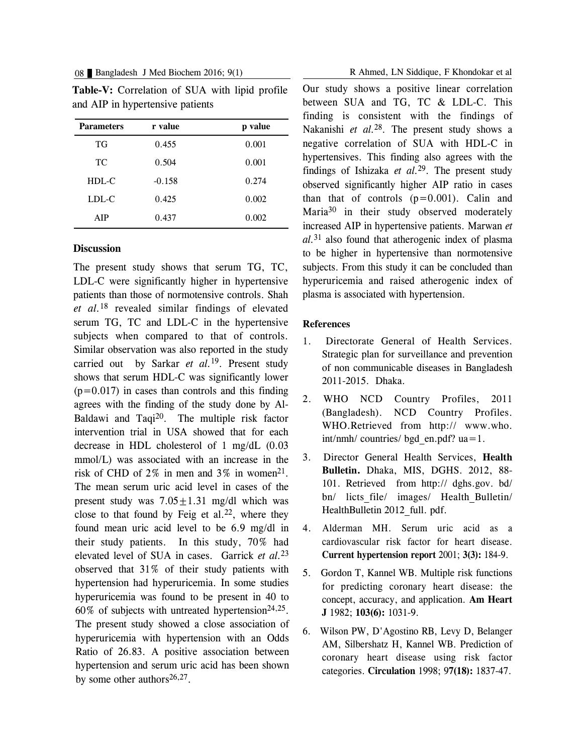| <b>Parameters</b> | r value  | p value |
|-------------------|----------|---------|
| TG                | 0.455    | 0.001   |
| TC                | 0.504    | 0.001   |
| HDL-C             | $-0.158$ | 0.274   |
| LDL-C             | 0.425    | 0.002   |
| AIP               | 0.437    | 0.002   |

**Table-V:** Correlation of SUA with lipid profile and AIP in hypertensive patients

#### **Discussion**

The present study shows that serum TG, TC, LDL-C were significantly higher in hypertensive patients than those of normotensive controls. Shah *et al.*<sup>18</sup> revealed similar findings of elevated serum TG, TC and LDL-C in the hypertensive subjects when compared to that of controls. Similar observation was also reported in the study carried out by Sarkar *et al.*19. Present study shows that serum HDL-C was significantly lower  $(p=0.017)$  in cases than controls and this finding agrees with the finding of the study done by Al-Baldawi and Taqi<sup>20</sup>. The multiple risk factor intervention trial in USA showed that for each decrease in HDL cholesterol of 1 mg/dL (0.03 mmol/L) was associated with an increase in the risk of CHD of 2% in men and 3% in women<sup>21</sup>. The mean serum uric acid level in cases of the present study was  $7.05+1.31$  mg/dl which was close to that found by Feig et al.<sup>22</sup>, where they found mean uric acid level to be 6.9 mg/dl in their study patients. In this study, 70% had elevated level of SUA in cases. Garrick *et al.*<sup>23</sup> observed that 31% of their study patients with hypertension had hyperuricemia. In some studies hyperuricemia was found to be present in 40 to  $60\%$  of subjects with untreated hypertension<sup>24,25</sup>. The present study showed a close association of hyperuricemia with hypertension with an Odds Ratio of 26.83. A positive association between hypertension and serum uric acid has been shown by some other authors $26,27$ .

08 Bangladesh J Med Biochem 2016; 9(1) R Ahmed, LN Siddique, F Khondokar et al

Our study shows a positive linear correlation between SUA and TG, TC & LDL-C. This finding is consistent with the findings of Nakanishi *et al.*28. The present study shows a negative correlation of SUA with HDL-C in hypertensives. This finding also agrees with the findings of Ishizaka *et al.*29. The present study observed significantly higher AIP ratio in cases than that of controls  $(p=0.001)$ . Calin and Maria<sup>30</sup> in their study observed moderately increased AIP in hypertensive patients. Marwan *et al.*<sup>31</sup> also found that atherogenic index of plasma to be higher in hypertensive than normotensive subjects. From this study it can be concluded than hyperuricemia and raised atherogenic index of plasma is associated with hypertension.

#### **References**

- 1. Directorate General of Health Services. Strategic plan for surveillance and prevention of non communicable diseases in Bangladesh 2011-2015. Dhaka.
- 2. WHO NCD Country Profiles, 2011 (Bangladesh). NCD Country Profiles. WHO.Retrieved from http:// www.who. int/nmh/ countries/ bgd\_en.pdf? ua=1.
- 3. Director General Health Services, **Health Bulletin.** Dhaka, MIS, DGHS. 2012, 88- 101. Retrieved from http:// dghs.gov. bd/ bn/ licts file/ images/ Health Bulletin/ HealthBulletin 2012 full. pdf.
- 4. Alderman MH. Serum uric acid as a cardiovascular risk factor for heart disease. **Current hypertension report** 2001; **3(3):** 184-9.
- 5. Gordon T, Kannel WB. Multiple risk functions for predicting coronary heart disease: the concept, accuracy, and application. **Am Heart J** 1982; **103(6):** 1031-9.
- 6. Wilson PW, D'Agostino RB, Levy D, Belanger AM, Silbershatz H, Kannel WB. Prediction of coronary heart disease using risk factor categories. **Circulation** 1998; 9**7(18):** 1837-47.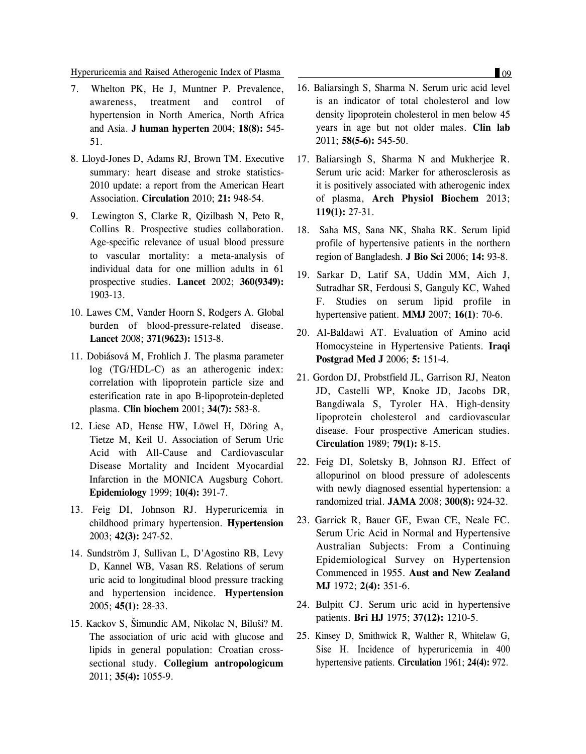#### Hyperuricemia and Raised Atherogenic Index of Plasma 09

- 7. Whelton PK, He J, Muntner P. Prevalence, awareness, treatment and control of hypertension in North America, North Africa and Asia. **J human hyperten** 2004; **18(8):** 545- 51.
- 8. Lloyd-Jones D, Adams RJ, Brown TM. Executive summary: heart disease and stroke statistics-2010 update: a report from the American Heart Association. **Circulation** 2010; **21:** 948-54.
- 9. Lewington S, Clarke R, Qizilbash N, Peto R, Collins R. Prospective studies collaboration. Age-specific relevance of usual blood pressure to vascular mortality: a meta-analysis of individual data for one million adults in 61 prospective studies. **Lancet** 2002; **360(9349):** 1903-13.
- 10. Lawes CM, Vander Hoorn S, Rodgers A. Global burden of blood-pressure-related disease. **Lancet** 2008; **371(9623):** 1513-8.
- 11. Dobiásová M, Frohlich J. The plasma parameter log (TG/HDL-C) as an atherogenic index: correlation with lipoprotein particle size and esterification rate in apo B-lipoprotein-depleted plasma. **Clin biochem** 2001; **34(7):** 583-8.
- 12. Liese AD, Hense HW, Löwel H, Döring A, Tietze M, Keil U. Association of Serum Uric Acid with All-Cause and Cardiovascular Disease Mortality and Incident Myocardial Infarction in the MONICA Augsburg Cohort. **Epidemiology** 1999; **10(4):** 391-7.
- 13. Feig DI, Johnson RJ. Hyperuricemia in childhood primary hypertension. **Hypertension** 2003; **42(3):** 247-52.
- 14. Sundström J, Sullivan L, D'Agostino RB, Levy D, Kannel WB, Vasan RS. Relations of serum uric acid to longitudinal blood pressure tracking and hypertension incidence. **Hypertension** 2005; **45(1):** 28-33.
- 15. Kackov S, Šimundic AM, Nikolac N, Biluši? M. The association of uric acid with glucose and lipids in general population: Croatian crosssectional study. **Collegium antropologicum** 2011; **35(4):** 1055-9.
- 16. Baliarsingh S, Sharma N. Serum uric acid level is an indicator of total cholesterol and low density lipoprotein cholesterol in men below 45 years in age but not older males. **Clin lab** 2011; **58(5-6):** 545-50.
- 17. Baliarsingh S, Sharma N and Mukherjee R. Serum uric acid: Marker for atherosclerosis as it is positively associated with atherogenic index of plasma, **Arch Physiol Biochem** 2013; **119(1):** 27-31.
- 18. Saha MS, Sana NK, Shaha RK. Serum lipid profile of hypertensive patients in the northern region of Bangladesh. **J Bio Sci** 2006; **14:** 93-8.
- 19. Sarkar D, Latif SA, Uddin MM, Aich J, Sutradhar SR, Ferdousi S, Ganguly KC, Wahed F. Studies on serum lipid profile in hypertensive patient. **MMJ** 2007; **16(1)**: 70-6.
- 20. Al-Baldawi AT. Evaluation of Amino acid Homocysteine in Hypertensive Patients. **Iraqi Postgrad Med J** 2006; **5:** 151-4.
- 21. Gordon DJ, Probstfield JL, Garrison RJ, Neaton JD, Castelli WP, Knoke JD, Jacobs DR, Bangdiwala S, Tyroler HA. High-density lipoprotein cholesterol and cardiovascular disease. Four prospective American studies. **Circulation** 1989; **79(1):** 8-15.
- 22. Feig DI, Soletsky B, Johnson RJ. Effect of allopurinol on blood pressure of adolescents with newly diagnosed essential hypertension: a randomized trial. **JAMA** 2008; **300(8):** 924-32.
- 23. Garrick R, Bauer GE, Ewan CE, Neale FC. Serum Uric Acid in Normal and Hypertensive Australian Subjects: From a Continuing Epidemiological Survey on Hypertension Commenced in 1955. **Aust and New Zealand MJ** 1972; **2(4):** 351-6.
- 24. Bulpitt CJ. Serum uric acid in hypertensive patients. **Bri HJ** 1975; **37(12):** 1210-5.
- 25. Kinsey D, Smithwick R, Walther R, Whitelaw G, Sise H. Incidence of hyperuricemia in 400 hypertensive patients. **Circulation** 1961; **24(4):** 972.